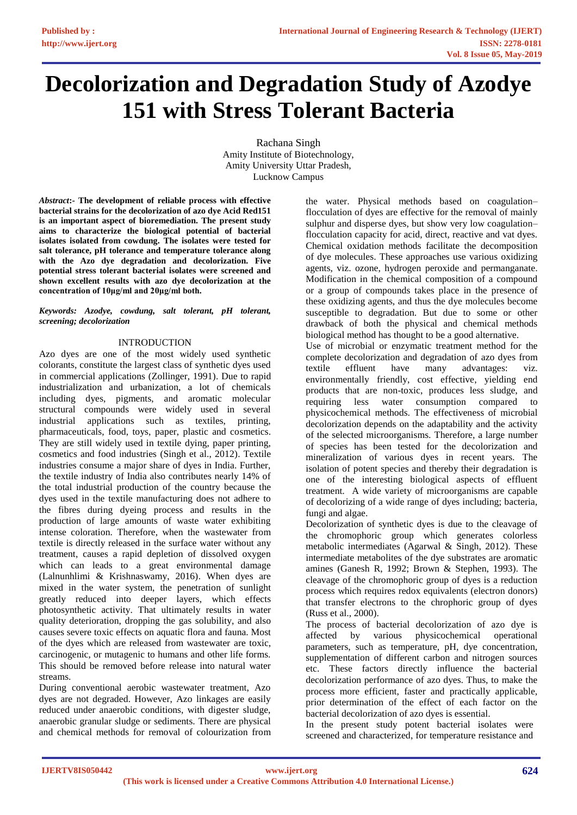# **Decolorization and Degradation Study of Azodye 151 with Stress Tolerant Bacteria**

Rachana Singh Amity Institute of Biotechnology, Amity University Uttar Pradesh, Lucknow Campus

*Abstract***:- The development of reliable process with effective bacterial strains for the decolorization of azo dye Acid Red151 is an important aspect of bioremediation. The present study aims to characterize the biological potential of bacterial isolates isolated from cowdung. The isolates were tested for salt tolerance, pH tolerance and temperature tolerance along with the Azo dye degradation and decolorization. Five potential stress tolerant bacterial isolates were screened and shown excellent results with azo dye decolorization at the concentration of 10μg/ml and 20μg/ml both.** 

*Keywords: Azodye, cowdung, salt tolerant, pH tolerant, screening; decolorization*

# INTRODUCTION

Azo dyes are one of the most widely used synthetic colorants, constitute the largest class of synthetic dyes used in commercial applications (Zollinger, 1991). Due to rapid industrialization and urbanization, a lot of chemicals including dyes, pigments, and aromatic molecular structural compounds were widely used in several industrial applications such as textiles, printing, pharmaceuticals, food, toys, paper, plastic and cosmetics. They are still widely used in textile dying, paper printing, cosmetics and food industries (Singh et al., 2012). Textile industries consume a major share of dyes in India. Further, the textile industry of India also contributes nearly 14% of the total industrial production of the country because the dyes used in the textile manufacturing does not adhere to the fibres during dyeing process and results in the production of large amounts of waste water exhibiting intense coloration. Therefore, when the wastewater from textile is directly released in the surface water without any treatment, causes a rapid depletion of dissolved oxygen which can leads to a great environmental damage (Lalnunhlimi & Krishnaswamy, 2016). When dyes are mixed in the water system, the penetration of sunlight greatly reduced into deeper layers, which effects photosynthetic activity. That ultimately results in water quality deterioration, dropping the gas solubility, and also causes severe toxic effects on aquatic flora and fauna. Most of the dyes which are released from wastewater are toxic, carcinogenic, or mutagenic to humans and other life forms. This should be removed before release into natural water streams.

During conventional aerobic wastewater treatment, Azo dyes are not degraded. However, Azo linkages are easily reduced under anaerobic conditions, with digester sludge, anaerobic granular sludge or sediments. There are physical and chemical methods for removal of colourization from the water. Physical methods based on coagulation– flocculation of dyes are effective for the removal of mainly sulphur and disperse dyes, but show very low coagulation– flocculation capacity for acid, direct, reactive and vat dyes. Chemical oxidation methods facilitate the decomposition of dye molecules. These approaches use various oxidizing agents, viz. ozone, hydrogen peroxide and permanganate. Modification in the chemical composition of a compound or a group of compounds takes place in the presence of these oxidizing agents, and thus the dye molecules become susceptible to degradation. But due to some or other drawback of both the physical and chemical methods biological method has thought to be a good alternative.

Use of microbial or enzymatic treatment method for the complete decolorization and degradation of azo dyes from textile effluent have many advantages: viz. environmentally friendly, cost effective, yielding end products that are non-toxic, produces less sludge, and requiring less water consumption compared to physicochemical methods. The effectiveness of microbial decolorization depends on the adaptability and the activity of the selected microorganisms. Therefore, a large number of species has been tested for the decolorization and mineralization of various dyes in recent years. The isolation of potent species and thereby their degradation is one of the interesting biological aspects of effluent treatment. A wide variety of microorganisms are capable of decolorizing of a wide range of dyes including; bacteria, fungi and algae.

Decolorization of synthetic dyes is due to the cleavage of the chromophoric group which generates colorless metabolic intermediates (Agarwal & Singh, 2012). These intermediate metabolites of the dye substrates are aromatic amines (Ganesh R, 1992; Brown & Stephen, 1993). The cleavage of the chromophoric group of dyes is a reduction process which requires redox equivalents (electron donors) that transfer electrons to the chrophoric group of dyes (Russ et al., 2000).

The process of bacterial decolorization of azo dye is affected by various physicochemical operational parameters, such as temperature, pH, dye concentration, supplementation of different carbon and nitrogen sources etc. These factors directly influence the bacterial decolorization performance of azo dyes. Thus, to make the process more efficient, faster and practically applicable, prior determination of the effect of each factor on the bacterial decolorization of azo dyes is essential.

In the present study potent bacterial isolates were screened and characterized, for temperature resistance and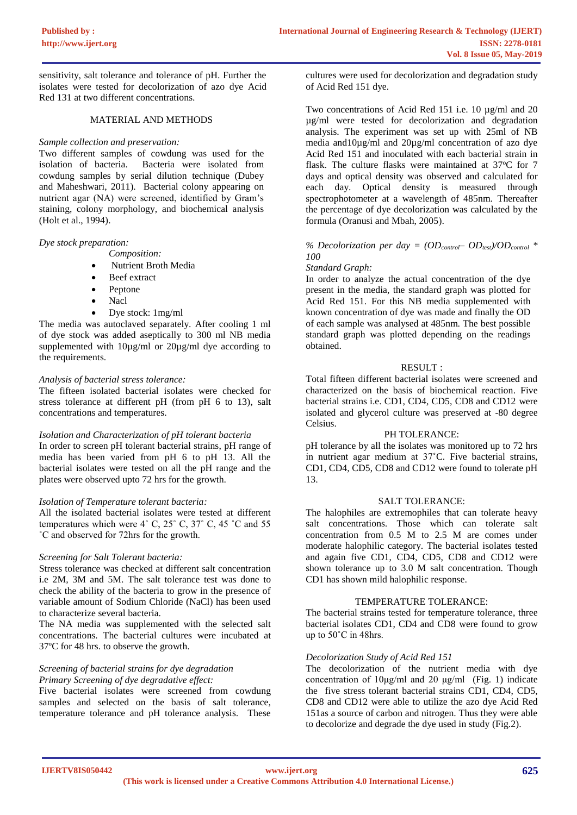sensitivity, salt tolerance and tolerance of pH. Further the isolates were tested for decolorization of azo dye Acid Red 131 at two different concentrations.

## MATERIAL AND METHODS

## *Sample collection and preservation:*

Two different samples of cowdung was used for the isolation of bacteria. Bacteria were isolated from Bacteria were isolated from cowdung samples by serial dilution technique (Dubey and Maheshwari, 2011). Bacterial colony appearing on nutrient agar (NA) were screened, identified by Gram's staining, colony morphology, and biochemical analysis (Holt et al., 1994).

## *Dye stock preparation:*

- *Composition:*
- Nutrient Broth Media
- Beef extract
- Peptone
- Nacl
- Dye stock: 1mg/ml

The media was autoclaved separately. After cooling 1 ml of dye stock was added aseptically to 300 ml NB media supplemented with  $10\mu\text{g/ml}$  or  $20\mu\text{g/ml}$  dye according to the requirements.

## *Analysis of bacterial stress tolerance:*

The fifteen isolated bacterial isolates were checked for stress tolerance at different pH (from pH 6 to 13), salt concentrations and temperatures.

#### *Isolation and Characterization of pH tolerant bacteria*

In order to screen pH tolerant bacterial strains, pH range of media has been varied from pH 6 to pH 13. All the bacterial isolates were tested on all the pH range and the plates were observed upto 72 hrs for the growth.

#### *Isolation of Temperature tolerant bacteria:*

All the isolated bacterial isolates were tested at different temperatures which were  $4^{\circ}$  C,  $25^{\circ}$  C,  $37^{\circ}$  C,  $45^{\circ}$ C and  $55^{\circ}$ ˚C and observed for 72hrs for the growth.

## *Screening for Salt Tolerant bacteria:*

Stress tolerance was checked at different salt concentration i.e 2M, 3M and 5M. The salt tolerance test was done to check the ability of the bacteria to grow in the presence of variable amount of Sodium Chloride (NaCl) has been used to characterize several bacteria.

The NA media was supplemented with the selected salt concentrations. The bacterial cultures were incubated at 37ºC for 48 hrs. to observe the growth.

## *Screening of bacterial strains for dye degradation Primary Screening of dye degradative effect:*

Five bacterial isolates were screened from cowdung samples and selected on the basis of salt tolerance, temperature tolerance and pH tolerance analysis. These

cultures were used for decolorization and degradation study of Acid Red 151 dye.

Two concentrations of Acid Red 151 i.e. 10  $\mu$ g/ml and 20 µg/ml were tested for decolorization and degradation analysis. The experiment was set up with 25ml of NB media and10µg/ml and 20µg/ml concentration of azo dye Acid Red 151 and inoculated with each bacterial strain in flask. The culture flasks were maintained at  $37^{\circ}$ C for 7 days and optical density was observed and calculated for each day. Optical density is measured through spectrophotometer at a wavelength of 485nm. Thereafter the percentage of dye decolorization was calculated by the formula (Oranusi and Mbah, 2005).

## % Decolorization per day =  $OD_{control} - OD_{test}/OD_{control}$  \* *100*

#### *Standard Graph:*

In order to analyze the actual concentration of the dye present in the media, the standard graph was plotted for Acid Red 151. For this NB media supplemented with known concentration of dye was made and finally the OD of each sample was analysed at 485nm. The best possible standard graph was plotted depending on the readings obtained.

## RESULT ·

Total fifteen different bacterial isolates were screened and characterized on the basis of biochemical reaction. Five bacterial strains i.e. CD1, CD4, CD5, CD8 and CD12 were isolated and glycerol culture was preserved at -80 degree Celsius.

#### PH TOLERANCE:

pH tolerance by all the isolates was monitored up to 72 hrs in nutrient agar medium at 37˚C. Five bacterial strains, CD1, CD4, CD5, CD8 and CD12 were found to tolerate pH 13.

## SALT TOLERANCE:

The halophiles are extremophiles that can tolerate heavy salt concentrations. Those which can tolerate salt concentration from 0.5 M to 2.5 M are comes under moderate halophilic category. The bacterial isolates tested and again five CD1, CD4, CD5, CD8 and CD12 were shown tolerance up to 3.0 M salt concentration. Though CD1 has shown mild halophilic response.

## TEMPERATURE TOLERANCE:

The bacterial strains tested for temperature tolerance, three bacterial isolates CD1, CD4 and CD8 were found to grow up to 50˚C in 48hrs.

## *Decolorization Study of Acid Red 151*

The decolorization of the nutrient media with dye concentration of 10μg/ml and 20 μg/ml (Fig. 1) indicate the five stress tolerant bacterial strains CD1, CD4, CD5, CD8 and CD12 were able to utilize the azo dye Acid Red 151as a source of carbon and nitrogen. Thus they were able to decolorize and degrade the dye used in study (Fig.2).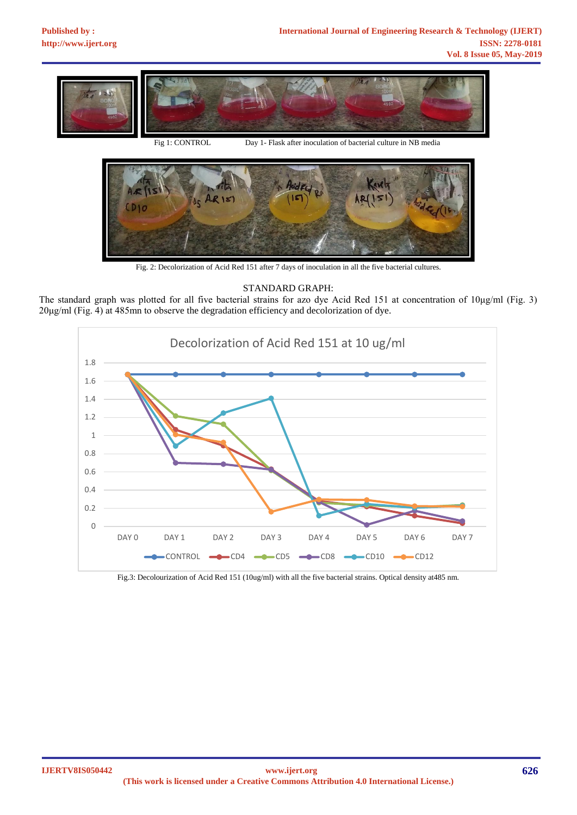

Fig 1: CONTROL Day 1- Flask after inoculation of bacterial culture in NB media



Fig. 2: Decolorization of Acid Red 151 after 7 days of inoculation in all the five bacterial cultures.

# STANDARD GRAPH:





Fig.3: Decolourization of Acid Red 151 (10ug/ml) with all the five bacterial strains. Optical density at485 nm.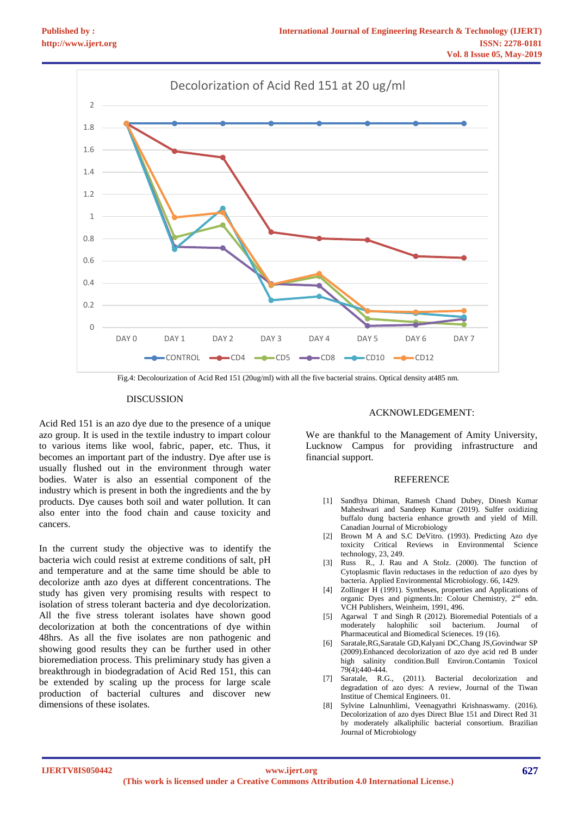

Fig.4: Decolourization of Acid Red 151 (20ug/ml) with all the five bacterial strains. Optical density at485 nm.

#### **DISCUSSION**

Acid Red 151 is an azo dye due to the presence of a unique azo group. It is used in the textile industry to impart colour to various items like wool, fabric, paper, etc. Thus, it becomes an important part of the industry. Dye after use is usually flushed out in the environment through water bodies. Water is also an essential component of the industry which is present in both the ingredients and the by products. Dye causes both soil and water pollution. It can also enter into the food chain and cause toxicity and cancers.

In the current study the objective was to identify the bacteria wich could resist at extreme conditions of salt, pH and temperature and at the same time should be able to decolorize anth azo dyes at different concentrations. The study has given very promising results with respect to isolation of stress tolerant bacteria and dye decolorization. All the five stress tolerant isolates have shown good decolorization at both the concentrations of dye within 48hrs. As all the five isolates are non pathogenic and showing good results they can be further used in other bioremediation process. This preliminary study has given a breakthrough in biodegradation of Acid Red 151, this can be extended by scaling up the process for large scale production of bacterial cultures and discover new dimensions of these isolates.

#### ACKNOWLEDGEMENT:

We are thankful to the Management of Amity University, Lucknow Campus for providing infrastructure and financial support.

#### **REFERENCE**

- [1] Sandhya Dhiman, Ramesh Chand Dubey, Dinesh Kumar Maheshwari and Sandeep Kumar (2019). Sulfer oxidizing buffalo dung bacteria enhance growth and yield of Mill. Canadian Journal of Microbiology
- [2] Brown M A and S.C DeVitro. (1993). Predicting Azo dye toxicity Critical Reviews in Environmental Science technology, 23, 249.
- [3] Russ R., J. Rau and A Stolz. (2000). The function of Cytoplasmic flavin reductases in the reduction of azo dyes by bacteria. Applied Environmental Microbiology. 66, 1429.
- [4] Zollinger H (1991). Syntheses, properties and Applications of organic Dyes and pigments.In: Colour Chemistry, 2nd edn. VCH Publishers, Weinheim, 1991, 496.
- [5] Agarwal T and Singh R (2012). Bioremedial Potentials of a moderately halophilic soil bacterium. Journal of Pharmaceutical and Biomedical Scieneces. 19 (16).
- [6] Saratale,RG,Saratale GD,Kalyani DC,Chang JS,Govindwar SP (2009).Enhanced decolorization of azo dye acid red B under high salinity condition.Bull Environ.Contamin Toxicol 79(4);440-444.
- [7] Saratale, R.G., (2011). Bacterial decolorization and degradation of azo dyes: A review, Journal of the Tiwan Institue of Chemical Engineers. 01.
- [8] Sylvine Lalnunhlimi, Veenagyathri Krishnaswamy. (2016). Decolorization of azo dyes Direct Blue 151 and Direct Red 31 by moderately alkaliphilic bacterial consortium. Brazilian Journal of Microbiology